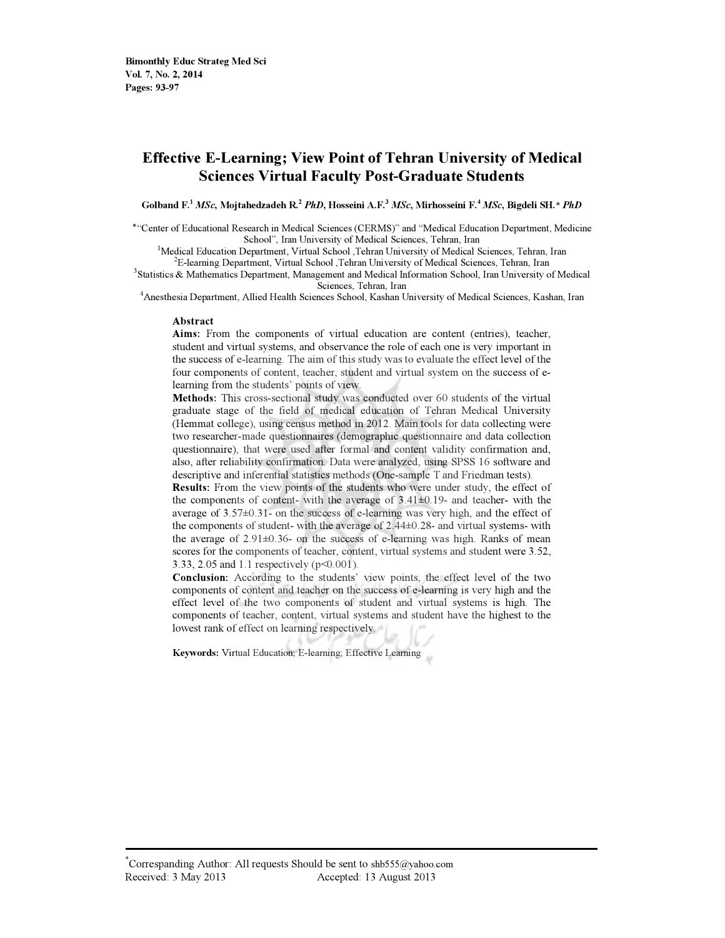## Effective E-Learning; View Point of Tehran University of Medical Sciences Virtual Faculty Post-Graduate Students

Golband F.<sup>1</sup> MSc, Mojtahedzadeh R.<sup>2</sup> PhD, Hosseini A.F.<sup>3</sup> MSc, Mirhosseini F.<sup>4</sup> MSc, Bigdeli SH.\* PhD

"Center of Educational Research in Medical Sciences (CERMS)" and "Medical Education Department, Medicine School", Iran University of Medical Sciences, Tehran, Iran

<sup>1</sup>Medical Education Department, Virtual School ,Tehran University of Medical Sciences, Tehran, Iran <sup>2</sup>E-learning Department, Virtual School ,Tehran University of Medical Sciences, Tehran, Iran

<sup>3</sup>Statistics & Mathematics Department, Management and Medical Information School, Iran University of Medical

Sciences, Tehran, Iran<br>4 Anesthesia Department, Allied Health Sciences School, Kashan University of Medical Sciences, Kashan, Iran

#### Abstract

Aims: From the components of virtual education are content (entries), teacher, student and virtual systems, and observance the role of each one is very important in the success of e-learning. The aim of this study was to evaluate the effect level of the four components of content, teacher, student and virtual system on the success of elearning from the students' points of view.

Methods: This cross-sectional study was conducted over 60 students of the virtual graduate stage of the field of medical education of Tehran Medical University (Hemmat college), using census method in 2012. Main tools for data collecting were two researcher-made questionnaires (demographic questionnaire and data collection questionnaire), that were used after formal and content validity confirmation and, also, after reliability confirmation. Data were analyzed, using SPSS 16 software and descriptive and inferential statistics methods (One-sample T and Friedman tests).

Results: From the view points of the students who were under study, the effect of the components of content- with the average of  $3.41\pm0.19$ - and teacher- with the average of 3.57±0.31- on the success of e-learning was very high, and the effect of the components of student- with the average of 2.44±0.28- and virtual systems- with the average of 2.91±0.36- on the success of e-learning was high. Ranks of mean scores for the components of teacher, content, virtual systems and student were 3.52, 3.33, 2.05 and 1.1 respectively (p<0.001).

Conclusion: According to the students' view points, the effect level of the two components of content and teacher on the success of e-learning is very high and the effect level of the two components of student and virtual systems is high. The components of teacher, content, virtual systems and student have the highest to the lowest rank of effect on learning respectively.

Keywords: Virtual Education; E-learning; Effective Learning

\*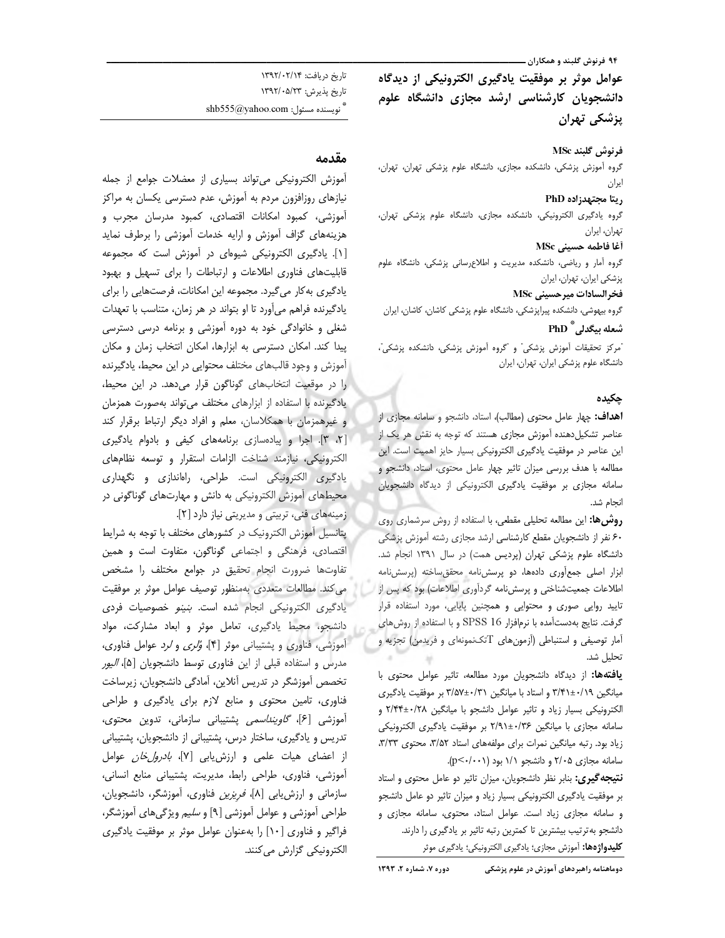۹۴ فرنوش گلبند و همکاران ـــ

عوامل موثر بر موفقیت یادگیری الکترونیکی از دیدگاه دانشجویان کارشناسی ارشد مجازی دانشگاه علوم پزشکی تھران

#### فرنوش گلبند MSc

گروه آموزش پزشکی، دانشکده مجازی، دانشگاه علوم پزشکی تهران، تهران، ايران

#### ريتا مجتهدزاده PhD

گروه یادگیری الکترونیکی، دانشکده مجازی، دانشگاه علوم پزشکی تهران، تهران، ايران

### آغا فاطمه حسيني MSc

گروه آمار و ریاضی، دانشکده مدیریت و اطلاعرسانی پزشکی، دانشگاه علوم پزشكى ايران، تهران، ايران

### فخرالسادات ميرحسيني MSc

گروه بیهوشی، دانشکده پیراپزشکی، دانشگاه علوم پزشکی کاشان، کاشان، ایران شعله بيگدلي آّ PhD

ّمركز تحقيقات آموزش يزشكي" و <sup>"</sup>گروه آموزش يزشكي، دانشكده يزشكي"، دانشگاه علوم پزشکی ایران، تهران، ایران

### چکیده

**اهداف:** چهار عامل محتوى (مطالب)، استاد، دانشجو و سامانه مجازى از عناصر تشکیل دهنده آموزش مجازی هستند که توجه به نقش هر یک از این عناصر در موفقیت یادگیری الکترونیکی بسیار حایز اهمیت است. این مطالعه با هدف بررسی میزان تاثیر چهار عامل محتوی، استاد، دانشجو و سامانه مجازی بر موفقیت یادگیری الکترونیکی از دیدگاه دانشجویان انجام شد.

**روش&:** این مطالعه تحلیلی مقطعی، با استفاده از روش سرشماری روی ۶۰ نفر از دانشجویان مقطع کارشناسی ارشد مجازی رشته آموزش پزشکی دانشگاه علوم پزشکی تهران (پردیس همت) در سال ۱۳۹۱ انجام شد. ابزار اصلی جمع آوری دادهها، دو پرسشنامه محقق ساخته (پرسشنامه اطلاعات جمعیتشناختی و پرسشنامه گردآوری اطلاعات) بود که پس از ا تایید روایی صوری و محتوایی و همچنین پایایی، مورد استفاده قرار گرفت. نتایج به دستآمده با نرمافزار SPSS 16 و با استفاده از روش های آمار توصیفی و استنباطی (آزمونهای Tتکنمونهای و فریدمن) تجزیه و تحليل شد.

يافتهها: از ديدگاه دانشجويان مورد مطالعه، تاثير عوامل محتوى با میانگین ۰/۱۹+۲/۴۱ و استاد با میانگین ۳/۵۷±۰/۳۱ بر موفقیت یادگیری الكترونيكى بسيار زياد وتاثير عوامل دانشجو با ميانكين ٢/٢٨+٢٢٣ و سامانه مجازی با میانگین ۲/۴۶±۲/۹۱ بر موفقیت یادگیری الکترونیکی زیاد بود. رتبه میانگین نمرات برای مولفههای استاد ۳/۵۲، محتوی ۳/۳۳، سامانه مجازی ۲/۰۵ و دانشجو ۱/۱ بود (p<۰/۰۰۱).

**نتیجه گیری:** بنابر نظر دانشجویان، میزان تاثیر دو عامل محتوی و استاد بر موفقیت یادگیری الکترونیکی بسیار زیاد و میزان تاثیر دو عامل دانشجو و سامانه مجازی زیاد است. عوامل استاد، محتوی، سامانه مجازی و دانشجو به ترتیب بیشترین تا کمترین رتبه تاثیر بر یادگیری را دارند. **كليدواژهها:** آموزش مجازى؛ يادگيرى الكترونيكي؛ يادگيرى موثر

تاريخ دريافت: ١٣٩٢/٠٢/١٣ تاریخ پذیرش: ۱۳۹۲/۰۵/۲۳  $\shb555@$ yahoo.com : تويسنده مسئول

### مقدمه

آموزش الكترونيكي مى تواند بسيارى از معضلات جوامع از جمله نیازهای روزافزون مردم به آموزش، عدم دسترسی یکسان به مراکز آموزشی، کمبود امکانات اقتصادی، کمبود مدرسان مجرب و هزینههای گزاف آموزش و ارایه خدمات آموزشی را برطرف نماید [١]. یادگیری الکترونیکی شیوهای در آموزش است که مجموعه قابلیتهای فناوری اطلاعات و ارتباطات را برای تسهیل و بهبود یادگیری به کار می گیرد. مجموعه این امکانات، فرصتهایی را برای یادگیرنده فراهم میآورد تا او بتواند در هر زمان، متناسب با تعهدات شغلی و خانوادگی خود به دوره آموزشی و برنامه درسی دسترسی پیدا کند. امکان دسترسی به ابزارها، امکان انتخاب زمان و مکان آموزش و وجود قالبهای مختلف محتوایی در این محیط، یادگیرنده را در موقعیت انتخابهای گوناگون قرار می دهد. در این محیط، یادگیرنده با استفاده از ابزارهای مختلف می تواند به صورت همزمان و غیرهمزمان با همکلاسان، معلم و افراد دیگر ارتباط برقرار کند [٢، ٣]. اجرا و پیادهسازی برنامههای کیفی و بادوام یادگیری الكترونيكي، نيازمند شناخت الزامات استقرار وتوسعه نظامهاى یادگیری الکترونیکی است. طراحی، راهاندازی و نگهداری محیطهای آموزش الکترونیکی به دانش و مهارتهای گوناگونی در زمینههای فنی، تربیتی و مدیریتی نیاز دارد [٢].

پتانسیل آموزش الکترونیک در کشورهای مختلف با توجه به شرایط اقتصادی، فرهنگی و اجتماعی گوناگون، متفاوت است و همین تفاوتها ضرورت انجام تحقيق در جوامع مختلف را مشخص می کند. مطالعات متعددی بهمنظور توصیف عوامل موثر بر موفقیت یادگیری الکترونیکی انجام شده است. بنینو خصوصیات فردی دانشجو، محیط یادگیری، تعامل موثر و ابعاد مشارکت، مواد أموزشي، فناوري و پشتيباني موثر [۴]، وُ*لري و لرد* عوامل فناوري، مدرس و استفاده قبلی از این فناوری توسط دانشجویان [۵]، *الیور* تخصص آموزشگر در تدریس آنلاین، آمادگی دانشجویان، زیرساخت فناوری، تامین محتوی و منابع لازم برای یادگیری و طراحی آموزشی [۶]، *گاوینداسمی* پشتیبانی سازمانی، تدوین محتوی، تدریس و یادگیری، ساختار درس، پشتیبانی از دانشجویان، پشتیبانی از اعضای هیات علمی و ارزش یابی [۷]، *بادرول خان* عوامل آموزشي، فناوري، طراحي رابط، مديريت، پشتيباني منابع انساني، سازمانی و ارزش یابی [A]، *فریزین* فناوری، آموزشگر، دانشجویان، طراحی آموزشی و عوامل آموزشی [۹] و *سلیم* ویژگیهای آموزشگر، فراگیر و فناوری [۱۰] را بهعنوان عوامل موثر بر موفقیت یادگیری الکترونیکی گزارش می کنند.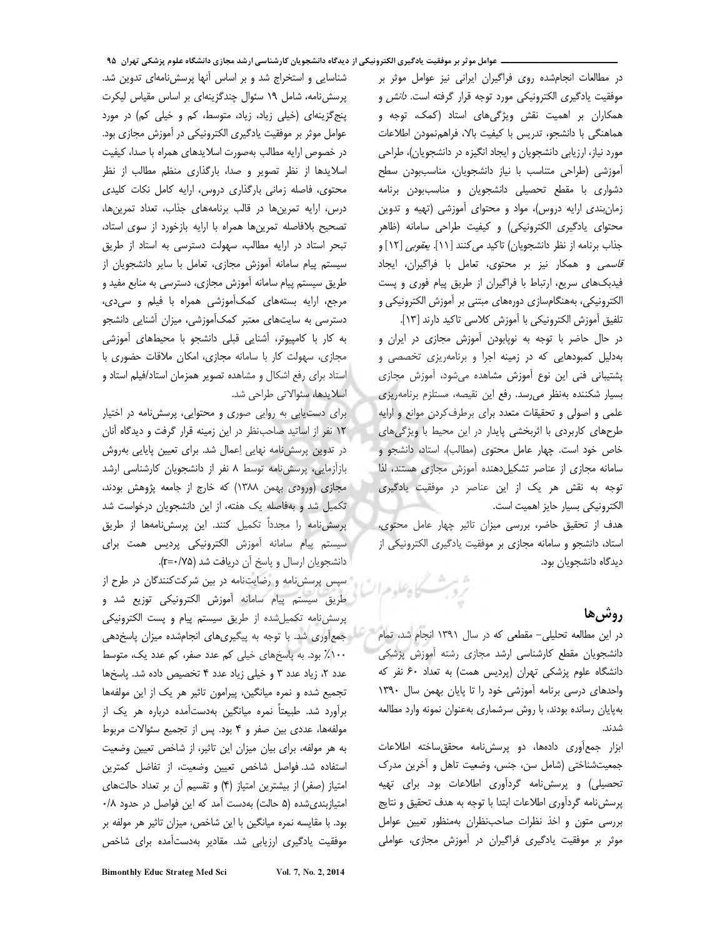در مطالعات انجامشده روى فراگيران ايراني نيز عوامل موثر بر موفقیت یادگیری الکترونیکی مورد توجه قرار گرفته اس*ت. دانش* و همکاران بر اهمیت نقش ویژگیهای استاد (کمک، توجه و هماهنگی با دانشجو، تدریس با کیفیت بالا، فراهمنمودن اطلاعات مورد نیاز، ارزیابی دانشجویان و ایجاد انگیزه در دانشجویان)، طراحی آموزشی (طراحی متناسب با نیاز دانشجویان، مناسببودن سطح دشواری با مقطع تحصیلی دانشجویان و مناسب بودن برنامه زمان بندی ارایه دروس)، مواد و محتوای آموزشی (تهیه و تدوین محتوای یادگیری الکترونیکی) و کیفیت طراحی سامانه (ظاهر جذاب برنامه از نظر دانشجویان) تاکید میکنند [۱۱]. *یعقوبی* [۱۲] و ق*اسمی* و همکار نیز بر محتوی، تعامل با فراگیران، ایجاد فیدبکهای سریع، ارتباط با فراگیران از طریق پیام فوری و پست الکترونیکی، بههنگامسازی دورههای مبتنی بر آموزش الکترونیکی و تلفيق أموزش الكترونيكي با أموزش كلاسي تاكيد دارند [١٣].

در حال حاضر با توجه به نوپابودن آموزش مجازى در ايران و بهدلیل کمبودهایی که در زمینه اجرا و برنامهریزی تخصصی و پشتیبانی فنی این نوع آموزش مشاهده میشود، آموزش مجازی بسیار شکننده بهنظر می رسد. رفع این نقیصه، مستلزم برنامهریزی علمی و اصولی و تحقیقات متعدد برای برطرف کردن موانع و ارایه طرحهای کاربردی با اثربخشی پایدار در این محیط با ویژگیهای خاص خود است. چهار عامل محتوی (مطالب)، استاد، دانشجو و سامانه مجازی از عناصر تشکیل دهنده آموزش مجازی هستند، لذا توجه به نقش هر یک از این عناصر در موفقیت یادگیری الكترونيكي بسيار حايز اهميت است.

هدف از تحقیق حاضر، بررسی میزان تاثیر چهار عامل محتوی، استاد، دانشجو و سامانه مجازی بر موفقیت یادگیری الکترونیکی از ديدگاه دانشجويان بود.

# **,وشر,ها**

در این مطالعه تحلیلی- مقطعی که در سال ۱۳۹۱ انجام شد، تمام دانشجویان مقطع کارشناسی ارشد مجازی رشته آموزش پزشکی دانشگاه علوم پزشکی تهران (پردیس همت) به تعداد ۶۰ نفر که واحدهای درسی برنامه آموزشی خود را تا پایان بهمن سال ١٣٩٠ بهپایان رسانده بودند، با روش سرشماری بهعنوان نمونه وارد مطالعه شدند.

ابزار جمع آوری دادهها، دو پرسش نامه محقق ساخته اطلاعات جمعیتشناختی (شامل سن، جنس، وضعیت تاهل و آخرین مدرک تحصیلی) و پرسشiامه گردآوری اطلاعات بود. برای تهیه پرسشنامه گردآوری اطلاعات ابتدا با توجه به هدف تحقیق و نتایج بررسی متون و اخذ نظرات صاحب نظران بهمنظور تعیین عوامل موثر بر موفقیت یادگیری فراگیران در آموزش مجازی، عواملی

شناسایی و استخراج شد و بر اساس آنها پرسشiامهای تدوین شد. پرسش نامه، شامل ١٩ سئوال چند گزينهاى بر اساس مقياس ليكرت پنج گزینهای (خیلی زیاد، زیاد، متوسط، کم و خیلی کم) در مورد عوامل موثر بر موفقیت یادگیری الکترونیکی در آموزش مجازی بود. در خصوص ارایه مطالب بهصورت اسلایدهای همراه با صدا، کیفیت اسلایدها از نظر تصویر و صدا، بارگذاری منظم مطالب از نظر محتوى، فاصله زمانى بارگذارى دروس، ارايه كامل نكات كليدى درس، ارایه تمرینها در قالب برنامههای جذاب، تعداد تمرینها، تصحيح بلافاصله تمرينها همراه با ارايه بازخورد از سوى استاد، تبحر استاد در ارایه مطالب، سهولت دسترسی به استاد از طریق سیستم پیام سامانه آموزش مجازی، تعامل با سایر دانشجویان از طریق سیستم پیام سامانه آموزش مجازی، دسترسی به منابع مفید و مرجع، ارایه بستههای کمکآموزشی همراه با فیلم و سی دی، دسترسی به سایتهای معتبر کمکآموزشی، میزان آشنایی دانشجو به کار با کامپیوتر، آشنایی قبلی دانشجو با محیطهای آموزشی مجازی، سهولت کار با سامانه مجازی، امکان ملاقات حضوری با استاد برای رفع اشکال و مشاهده تصویر همزمان استاد/فیلم استاد و اسلايدها، سئوالاتي طراحي شد.

برای دست یابی به روایی صوری و محتوایی، پرسش نامه در اختیار ۱۲ نفر از اساتید صاحب نظر در این زمینه قرار گرفت و دیدگاه آنان در تدوین پرسش نامه نهایی اِعمال شد. برای تعیین پایایی بهروش بازآزمایی، پرسش نامه توسط ٨ نفر از دانشجویان کارشناسی ارشد مجازی (ورودی بهمن ۱۳۸۸) که خارج از جامعه پژوهش بودند، تکمیل شد و بهفاصله یک هفته، از این دانشجویان درخواست شد پرسش نامه را مجدداً تکمیل کنند. این پرسش نامهها از طریق سيستم پيام سامانه آموزش الكترونيكى پرديس همت براى دانشجويان ارسال و پاسخ آن دريافت شد (r=٠/٧۵).

سپس پرسشنامه و رضایتنامه در بین شرکت کنندگان در طرح از طريق سيستم پيام سامانه آموزش الكترونيكي توزيع شد و پرسش نامه تکمیل شده از طریق سیستم پیام و پست الکترونیکی - جمع آوری شد. با توجه به پیگیری های انجامشده میزان پاسخدهی ١٠٠٪ بود. به پاسخهای خیلی کم عدد صفر، کم عدد یک، متوسط عدد ٢، زياد عدد ٣ و خيلي زياد عدد ۴ تخصيص داده شد. پاسخها تجمیع شده و نمره میانگین، پیرامون تاثیر هر یک از این مولفهها برآورد شد. طبیعتاً نمره میانگین بهدستآمده درباره هر یک از مولفهها، عددی بین صفر و ۴ بود. پس از تجمیع سئوالات مربوط به هر مولفه، برای بیان میزان این تاثیر، از شاخص تعیین وضعیت استفاده شد. فواصل شاخص تعيين وضعيت، از تفاضل كمترين امتیاز (صفر) از بیشترین امتیاز (۴) و تقسیم أن بر تعداد حالتهای امتیازبندی شده (۵ حالت) به دست آمد که این فواصل در حدود ۰/۸ بود. با مقایسه نمره میانگین با این شاخص، میزان تاثیر هر مولفه بر موفقیت یادگیری ارزیابی شد. مقادیر بهدستآمده برای شاخص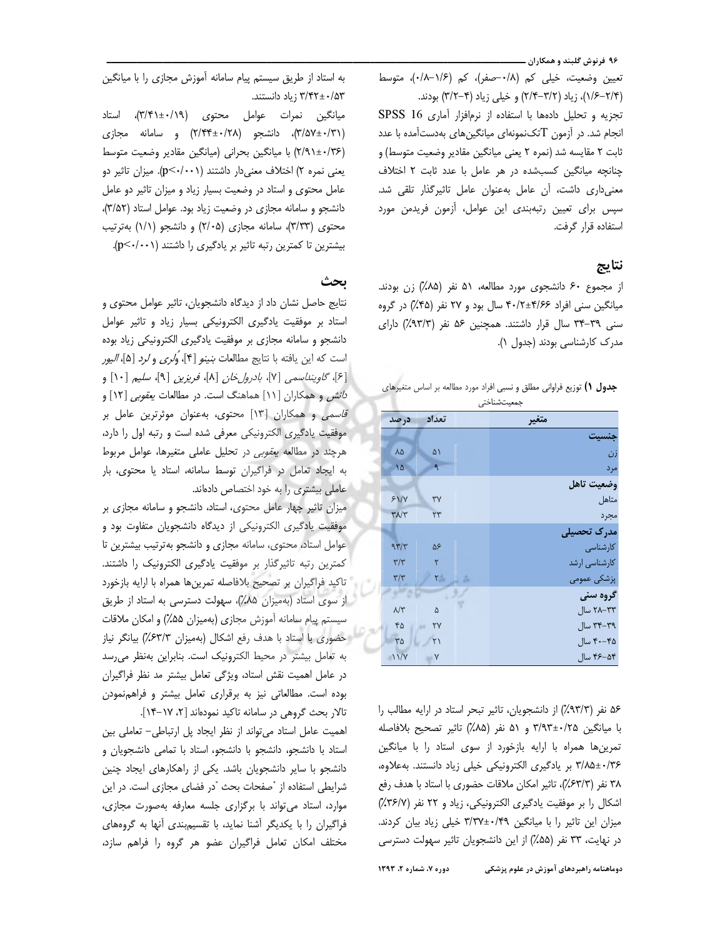۹۶ فرنوش گلبند و همکاران ــ

تعيين وضعيت، خيلي كم (٠/٨-صفر)، كم (٠/٨-٠/٠)، متوسط (۱/۶–۱/۴)، زیاد (۳/۲–۲/۴) و خیلی زیاد (۳/۲–۳/۲) بودند. تجزيه وتحليل دادهها با استفاده از نرمافزار آمارى SPSS 16 انجام شد. در آزمون Tتکنمونهای میانگینهای بهدستآمده با عدد ثابت ٢ مقايسه شد (نمره ٢ يعني ميانگين مقادير وضعيت متوسط) و چنانچه میانگین کسبشده در هر عامل با عدد ثابت ۲ اختلاف معنى دارى داشت، أن عامل بهعنوان عامل تاثير گذار تلقى شد. سپس برای تعیین رتبهبندی این عوامل، آزمون فریدمن مورد استفاده قرار گرفت.

### نتايج

از مجموع ۶۰ دانشجوی مورد مطالعه، ۵۱ نفر (۸۵٪) زن بودند. میانگین سنی افراد ۴۰/۶۶±۴۰/۲ سال بود و ۲۷ نفر (۴۵٪) در گروه سنی ٣٩-٣۴ سال قرار داشتند. همچنین ۵۶ نفر (٩٣/٣٪) دارای مدرک کارشناسی بودند (جدول ١).

| <b>جدول ۱)</b> توزیع فراوانی مطلق و نسبی افراد مورد مطالعه بر اساس متغیرهای |  |  |             |  |  |  |
|-----------------------------------------------------------------------------|--|--|-------------|--|--|--|
|                                                                             |  |  | جمعیتشناختی |  |  |  |

| متغير         |      | تعداد                  | در صد                   |
|---------------|------|------------------------|-------------------------|
| جنسيت         |      |                        |                         |
| زن            |      | ۵١                     | ٨۵                      |
| مرد           |      | ٩                      | ١۵                      |
| وضعيت تاهل    |      |                        |                         |
| متاهل         |      | ٣٧                     | 51/1                    |
| مجرد          |      | ٢٣                     | $\mathbf{r} \mathbf{v}$ |
| مدرک تحصیلی   |      |                        |                         |
| كارشناسى      |      | ۵۶                     | 977                     |
| کارشناسی ارشد |      | ۲                      | $\mathbf{r}/\mathbf{r}$ |
| پزشکی عمومی   | i di | ⊪: ۲                   | $\mathbf{r}/\mathbf{r}$ |
| گروه سنی      |      |                        |                         |
| ۲۸–۲۸ سال     |      | ۵                      | $\lambda/\tau$          |
| ۳۴–۳۴ سال     |      | YY                     | ۴۵                      |
| ۴۰–۴۰ سال     |      | $\mathsf{Y}\mathsf{1}$ | $\Gamma \Delta$         |
| ۴۶–۴۶ سال     |      | Y                      | 11/V                    |

۵۶ نفر (۹۳/۳٪) از دانشجویان، تاثیر تبحر استاد در ارایه مطالب را با میانگین ۳/۹۳±۰/۲۵ و ۵۱ نفر (۸۵٪) تاثیر تصحیح بلافاصله تمرینها همراه با ارایه بازخورد از سوی استاد را با میانگین ۳/۸۵±۰/۳۶ بر یادگیری الکترونیکی خیلی زیاد دانستند. بهعلاوه، ٣٨ نفر (٤٣/٣٪)، تاثير امكان ملاقات حضورى با استاد با هدف رفع اشکال را بر موفقیت یادگیری الکترونیکی، زیاد و ۲۲ نفر (۳۶/۷٪) میزان این تاثیر را با میانگین ۳/۳۷±۳/۳۷ خیلی زیاد بیان کردند. در نهایت، ۳۳ نفر (۵۵٪) از این دانشجویان تاثیر سهولت دسترسی

دوره ۷، شماره ۲، ۱۳۹۳ دوماهنامه راهبردهای آموزش در علوم پزشکی

به استاد از طریق سیستم پیام سامانه آموزش مجازی را با میانگین ۳/۴۲±۰/۵۳ زیاد دانستند.

میانگین نمرات عوامل محتوی (۳/۴۱±۰/۱۹)، استاد (٣/٥٧±٠/٣١)، دانشجو (٢/٢٢±٢/٣۴) و سامانه مجازى (۲/۹۱±۰/۳۶) با میانگین بحرانی (میانگین مقادیر وضعیت متوسط یعنی نمره ۲) اختلاف معنیدار داشتند (p<۰/۰۰۱). میزان تاثیر دو عامل محتوی و استاد در وضعیت بسیار زیاد و میزان تاثیر دو عامل دانشجو و سامانه مجازی در وضعیت زیاد بود. عوامل استاد (٣/۵٢)، محتوى (٣/٣٣)، سامانه مجازى (٢/٠۵) و دانشجو (١/١) بهترتيب بیشترین تا کمترین رتبه تاثیر بر یادگیری را داشتند (p<۰/۰۰۱).

### ىحث

نتايج حاصل نشان داد از ديدگاه دانشجويان، تاثير عوامل محتوى و استاد بر موفقیت یادگیری الکترونیکی بسیار زیاد و تاثیر عوامل دانشجو و سامانه مجازی بر موفقیت یادگیری الکترونیکی زیاد بوده است كه اين يافته با نتايج مطالعات *بنينو* [۴]، وُ*لرى* و *لرد* [۵]، *اليور* [۶]، گاویند سمی [۷]، بادرول خان [۸]، فریزین [۹]، سلیم [۱۰] و د*انش* و همکاران [۱۱] هماهنگ است. در مطالعات *یعقوبی* [۱۲] و قاسمی و همکاران [۱۳] محتوی، بهعنوان موثرترین عامل بر موفقیت یادگیری الکترونیکی معرفی شده است و رتبه اول را دارد، هرچند در مطالعه يع*قوبي* در تحليل عاملي متغيرها، عوامل مربوط به ایجاد تعامل در فراگیران توسط سامانه، استاد یا محتوی، بار عاملی بیشتری را به خود اختصاص دادهاند.

میزان تاثیر چهار عامل محتوی، استاد، دانشجو و سامانه مجازی بر موفقیت یادگیری الکترونیکی از دیدگاه دانشجویان متفاوت بود و عوامل استاد، محتوى، سامانه مجازى و دانشجو بهترتيب بيشترين تا كمترين رتبه تاثيرگذار بر موفقيت يادگيرى الكترونيك را داشتند. ً تاكيد فراگيران بر تصحيح بلافاصله تمرينها همراه با ارايه بازخورد از سوی استاد (بهمیزان ۸۵٪)، سهولت دسترسی به استاد از طریق سیستم پیام سامانه آموزش مجازی (بهمیزان ۵۵٪) و امکان ملاقات - حضوری با استاد با هدف رفع اشکال (بهمیزان ۶۳/۳٪) بیانگر نیاز به تعامل بیشتر در محیط الکترونیک است. بنابراین بهنظر می رسد در عامل اهمیت نقش استاد، ویژگی تعامل بیشتر مد نظر فراگیران بوده است. مطالعاتی نیز به برقراری تعامل بیشتر و فراهمنمودن تالار بحث گروهی در سامانه تاکید نمودهاند [۲، ۱۷-۱۴].

اهمیت عامل استاد می تواند از نظر ایجاد پل ارتباطی- تعاملی بین استاد با دانشجو، دانشجو با دانشجو، استاد با تمامی دانشجویان و دانشجو با سایر دانشجویان باشد. یکی از راهکارهای ایجاد چنین شرایطی استفاده از "صفحات بحث "در فضای مجازی است. در این موارد، استاد می تواند با برگزاری جلسه معارفه بهصورت مجازی، فراگیران را با یکدیگر آشنا نماید، با تقسیمبندی آنها به گروههای مختلف امكان تعامل فراگيران عضو هر گروه را فراهم سازد،